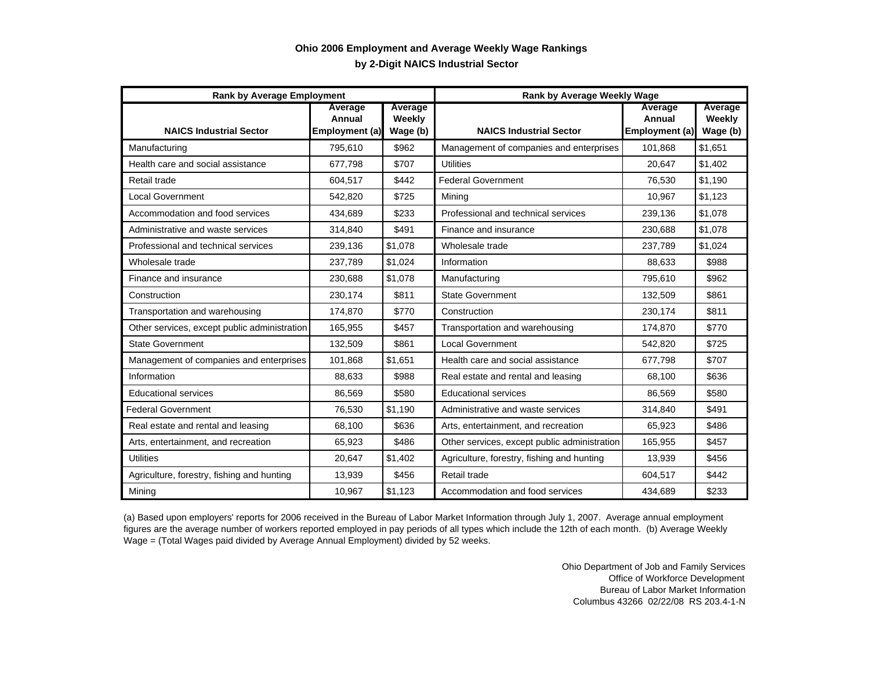## **by 2-Digit NAICS Industrial Sector Ohio 2006 Employment and Average Weekly Wage Rankings**

| <b>Rank by Average Employment</b>            |                                            |                               | Rank by Average Weekly Wage                  |                                     |                               |
|----------------------------------------------|--------------------------------------------|-------------------------------|----------------------------------------------|-------------------------------------|-------------------------------|
| <b>NAICS Industrial Sector</b>               | <b>Average</b><br>Annual<br>Employment (a) | Average<br>Weekly<br>Wage (b) | <b>NAICS Industrial Sector</b>               | Average<br>Annual<br>Employment (a) | Average<br>Weekly<br>Wage (b) |
| Manufacturing                                | 795,610                                    | \$962                         | Management of companies and enterprises      | 101,868                             | \$1,651                       |
| Health care and social assistance            | 677,798                                    | \$707                         | <b>Utilities</b>                             | 20,647                              | \$1,402                       |
| Retail trade                                 | 604,517                                    | \$442                         | <b>Federal Government</b>                    | 76,530                              | \$1,190                       |
| <b>Local Government</b>                      | 542,820                                    | \$725                         | Mining                                       | 10,967                              | \$1,123                       |
| Accommodation and food services              | 434,689                                    | \$233                         | Professional and technical services          | 239,136                             | \$1,078                       |
| Administrative and waste services            | 314,840                                    | \$491                         | Finance and insurance                        | 230,688                             | \$1.078                       |
| Professional and technical services          | 239,136                                    | \$1,078                       | Wholesale trade                              | 237,789                             | \$1,024                       |
| Wholesale trade                              | 237,789                                    | \$1,024                       | Information                                  | 88,633                              | \$988                         |
| Finance and insurance                        | 230,688                                    | \$1,078                       | Manufacturing                                | 795.610                             | \$962                         |
| Construction                                 | 230.174                                    | \$811                         | <b>State Government</b>                      | 132.509                             | \$861                         |
| Transportation and warehousing               | 174,870                                    | \$770                         | Construction                                 | 230,174                             | \$811                         |
| Other services, except public administration | 165,955                                    | \$457                         | Transportation and warehousing               | 174,870                             | \$770                         |
| <b>State Government</b>                      | 132,509                                    | \$861                         | <b>Local Government</b>                      | 542,820                             | \$725                         |
| Management of companies and enterprises      | 101,868                                    | \$1,651                       | Health care and social assistance            | 677,798                             | \$707                         |
| Information                                  | 88,633                                     | \$988                         | Real estate and rental and leasing           | 68,100                              | \$636                         |
| <b>Educational services</b>                  | 86,569                                     | \$580                         | <b>Educational services</b>                  | 86,569                              | \$580                         |
| <b>Federal Government</b>                    | 76,530                                     | \$1,190                       | Administrative and waste services            | 314,840                             | \$491                         |
| Real estate and rental and leasing           | 68,100                                     | \$636                         | Arts, entertainment, and recreation          | 65,923                              | \$486                         |
| Arts, entertainment, and recreation          | 65.923                                     | \$486                         | Other services, except public administration | 165,955                             | \$457                         |
| <b>Utilities</b>                             | 20,647                                     | \$1,402                       | Agriculture, forestry, fishing and hunting   | 13,939                              | \$456                         |
| Agriculture, forestry, fishing and hunting   | 13,939                                     | \$456                         | Retail trade                                 | 604,517                             | \$442                         |
| Mining                                       | 10,967                                     | \$1,123                       | Accommodation and food services              | 434,689                             | \$233                         |

(a) Based upon employers' reports for 2006 received in the Bureau of Labor Market Information through July 1, 2007. Average annual employment figures are the average number of workers reported employed in pay periods of all types which include the 12th of each month. (b) Average Weekly Wage = (Total Wages paid divided by Average Annual Employment) divided by 52 weeks.

> Ohio Department of Job and Family Services Office of Workforce Development Bureau of Labor Market Information Columbus 43266 02/22/08 RS 203.4-1-N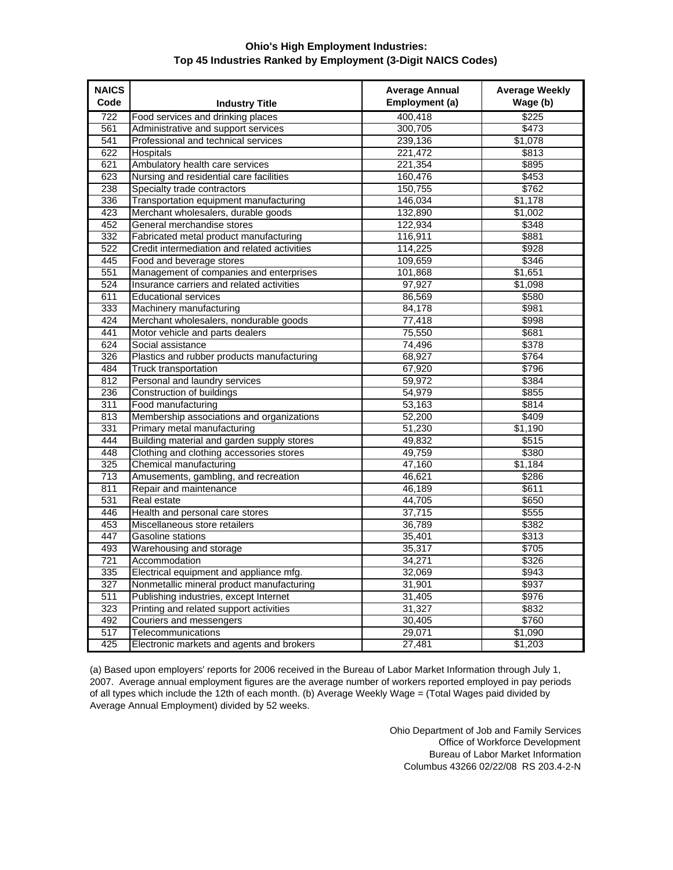## **Ohio's High Employment Industries: Top 45 Industries Ranked by Employment (3-Digit NAICS Codes)**

| <b>NAICS</b><br>Code | <b>Industry Title</b>                        | <b>Average Annual</b><br>Employment (a) | <b>Average Weekly</b><br>Wage (b) |
|----------------------|----------------------------------------------|-----------------------------------------|-----------------------------------|
| 722                  | Food services and drinking places            | 400.418                                 | \$225                             |
| 561                  | Administrative and support services          | 300,705                                 | \$473                             |
| 541                  | Professional and technical services          | 239,136                                 | \$1,078                           |
| 622                  | <b>Hospitals</b>                             | 221,472                                 | \$813                             |
| 621                  | Ambulatory health care services              | 221,354                                 | \$895                             |
| 623                  | Nursing and residential care facilities      | 160,476                                 | \$453                             |
| 238                  | Specialty trade contractors                  | 150,755                                 | \$762                             |
| 336                  | Transportation equipment manufacturing       | 146,034                                 | \$1,178                           |
| 423                  | Merchant wholesalers, durable goods          | 132,890                                 | \$1,002                           |
| 452                  | General merchandise stores                   | 122,934                                 | \$348                             |
| 332                  | Fabricated metal product manufacturing       | 116,911                                 | \$881                             |
| 522                  | Credit intermediation and related activities | 114,225                                 | \$928                             |
| 445                  | Food and beverage stores                     | 109,659                                 | \$346                             |
| 551                  | Management of companies and enterprises      | 101,868                                 | \$1,651                           |
| 524                  | Insurance carriers and related activities    | 97,927                                  | \$1,098                           |
| 611                  | <b>Educational services</b>                  | 86,569                                  | \$580                             |
| 333                  | Machinery manufacturing                      | 84,178                                  | \$981                             |
| 424                  | Merchant wholesalers, nondurable goods       | 77,418                                  | \$998                             |
| 441                  | Motor vehicle and parts dealers              | 75,550                                  | \$681                             |
| 624                  | Social assistance                            | 74,496                                  | \$378                             |
| 326                  | Plastics and rubber products manufacturing   | 68,927                                  | \$764                             |
| 484                  | <b>Truck transportation</b>                  | 67,920                                  | \$796                             |
| 812                  | Personal and laundry services                | 59,972                                  | \$384                             |
| 236                  | Construction of buildings                    | 54,979                                  | \$855                             |
| 311                  | Food manufacturing                           | 53,163                                  | \$814                             |
| 813                  | Membership associations and organizations    | 52,200                                  | \$409                             |
| 331                  | Primary metal manufacturing                  | 51,230                                  | \$1,190                           |
| 444                  | Building material and garden supply stores   | 49,832                                  | \$515                             |
| 448                  | Clothing and clothing accessories stores     | 49,759                                  | \$380                             |
| 325                  | Chemical manufacturing                       | 47,160                                  | \$1,184                           |
| 713                  | Amusements, gambling, and recreation         | 46,621                                  | \$286                             |
| 811                  | Repair and maintenance                       | 46,189                                  | \$611                             |
| 531                  | Real estate                                  | 44,705                                  | \$650                             |
| 446                  | Health and personal care stores              | 37,715                                  | \$555                             |
| 453                  | Miscellaneous store retailers                | 36,789                                  | \$382                             |
| 447                  | Gasoline stations                            | 35,401                                  | \$313                             |
| 493                  | Warehousing and storage                      | 35,317                                  | \$705                             |
| 721                  | Accommodation                                | 34,271                                  | \$326                             |
| 335                  | Electrical equipment and appliance mfg.      | 32,069                                  | \$943                             |
| 327                  | Nonmetallic mineral product manufacturing    | 31,901                                  | \$937                             |
| 511                  | Publishing industries, except Internet       | 31,405                                  | \$976                             |
| 323                  | Printing and related support activities      | 31,327                                  | \$832                             |
| 492                  | Couriers and messengers                      | 30,405                                  | \$760                             |
| 517                  | Telecommunications                           | 29,071                                  | \$1,090                           |
| 425                  | Electronic markets and agents and brokers    | 27,481                                  | \$1,203                           |

(a) Based upon employers' reports for 2006 received in the Bureau of Labor Market Information through July 1, 2007. Average annual employment figures are the average number of workers reported employed in pay periods of all types which include the 12th of each month. (b) Average Weekly Wage = (Total Wages paid divided by Average Annual Employment) divided by 52 weeks.

> Ohio Department of Job and Family Services Office of Workforce Development Bureau of Labor Market Information Columbus 43266 02/22/08 RS 203.4-2-N